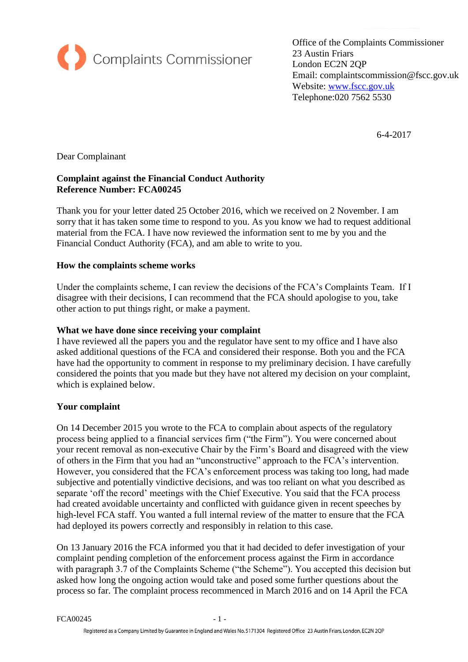

Office of the Complaints Commissioner 23 Austin Friars London EC2N 2QP Email: complaintscommission@fscc.gov.uk Website: [www.fscc.gov.uk](http://www.fscc.gov.uk/) Telephone:020 7562 5530

6-4-2017

Dear Complainant

# **Complaint against the Financial Conduct Authority Reference Number: FCA00245**

Thank you for your letter dated 25 October 2016, which we received on 2 November. I am sorry that it has taken some time to respond to you. As you know we had to request additional material from the FCA. I have now reviewed the information sent to me by you and the Financial Conduct Authority (FCA), and am able to write to you.

## **How the complaints scheme works**

Under the complaints scheme, I can review the decisions of the FCA's Complaints Team. If I disagree with their decisions, I can recommend that the FCA should apologise to you, take other action to put things right, or make a payment.

## **What we have done since receiving your complaint**

I have reviewed all the papers you and the regulator have sent to my office and I have also asked additional questions of the FCA and considered their response. Both you and the FCA have had the opportunity to comment in response to my preliminary decision. I have carefully considered the points that you made but they have not altered my decision on your complaint, which is explained below.

## **Your complaint**

On 14 December 2015 you wrote to the FCA to complain about aspects of the regulatory process being applied to a financial services firm ("the Firm"). You were concerned about your recent removal as non-executive Chair by the Firm's Board and disagreed with the view of others in the Firm that you had an "unconstructive" approach to the FCA's intervention. However, you considered that the FCA's enforcement process was taking too long, had made subjective and potentially vindictive decisions, and was too reliant on what you described as separate 'off the record' meetings with the Chief Executive. You said that the FCA process had created avoidable uncertainty and conflicted with guidance given in recent speeches by high-level FCA staff. You wanted a full internal review of the matter to ensure that the FCA had deployed its powers correctly and responsibly in relation to this case.

On 13 January 2016 the FCA informed you that it had decided to defer investigation of your complaint pending completion of the enforcement process against the Firm in accordance with paragraph 3.7 of the Complaints Scheme ("the Scheme"). You accepted this decision but asked how long the ongoing action would take and posed some further questions about the process so far. The complaint process recommenced in March 2016 and on 14 April the FCA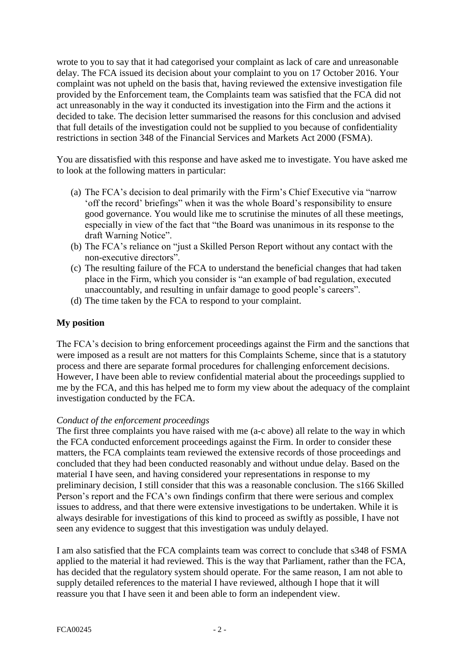wrote to you to say that it had categorised your complaint as lack of care and unreasonable delay. The FCA issued its decision about your complaint to you on 17 October 2016. Your complaint was not upheld on the basis that, having reviewed the extensive investigation file provided by the Enforcement team, the Complaints team was satisfied that the FCA did not act unreasonably in the way it conducted its investigation into the Firm and the actions it decided to take. The decision letter summarised the reasons for this conclusion and advised that full details of the investigation could not be supplied to you because of confidentiality restrictions in section 348 of the Financial Services and Markets Act 2000 (FSMA).

You are dissatisfied with this response and have asked me to investigate. You have asked me to look at the following matters in particular:

- (a) The FCA's decision to deal primarily with the Firm's Chief Executive via "narrow 'off the record' briefings" when it was the whole Board's responsibility to ensure good governance. You would like me to scrutinise the minutes of all these meetings, especially in view of the fact that "the Board was unanimous in its response to the draft Warning Notice".
- (b) The FCA's reliance on "just a Skilled Person Report without any contact with the non-executive directors".
- (c) The resulting failure of the FCA to understand the beneficial changes that had taken place in the Firm, which you consider is "an example of bad regulation, executed unaccountably, and resulting in unfair damage to good people's careers".
- (d) The time taken by the FCA to respond to your complaint.

## **My position**

The FCA's decision to bring enforcement proceedings against the Firm and the sanctions that were imposed as a result are not matters for this Complaints Scheme, since that is a statutory process and there are separate formal procedures for challenging enforcement decisions. However, I have been able to review confidential material about the proceedings supplied to me by the FCA, and this has helped me to form my view about the adequacy of the complaint investigation conducted by the FCA.

## *Conduct of the enforcement proceedings*

The first three complaints you have raised with me (a-c above) all relate to the way in which the FCA conducted enforcement proceedings against the Firm. In order to consider these matters, the FCA complaints team reviewed the extensive records of those proceedings and concluded that they had been conducted reasonably and without undue delay. Based on the material I have seen, and having considered your representations in response to my preliminary decision, I still consider that this was a reasonable conclusion. The s166 Skilled Person's report and the FCA's own findings confirm that there were serious and complex issues to address, and that there were extensive investigations to be undertaken. While it is always desirable for investigations of this kind to proceed as swiftly as possible, I have not seen any evidence to suggest that this investigation was unduly delayed.

I am also satisfied that the FCA complaints team was correct to conclude that s348 of FSMA applied to the material it had reviewed. This is the way that Parliament, rather than the FCA, has decided that the regulatory system should operate. For the same reason, I am not able to supply detailed references to the material I have reviewed, although I hope that it will reassure you that I have seen it and been able to form an independent view.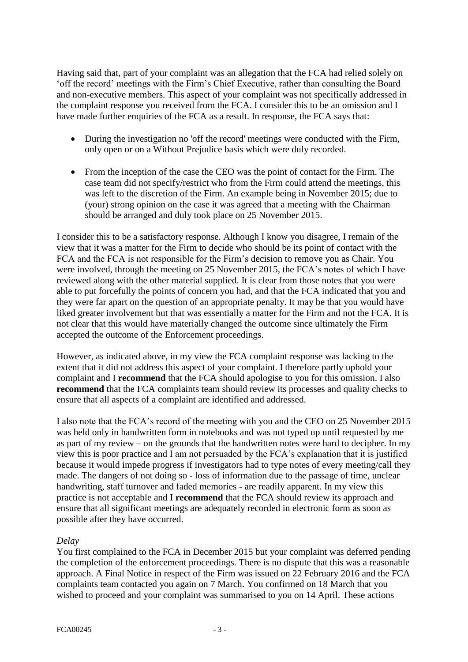Having said that, part of your complaint was an allegation that the FCA had relied solely on 'off the record' meetings with the Firm's Chief Executive, rather than consulting the Board and non-executive members. This aspect of your complaint was not specifically addressed in the complaint response you received from the FCA. I consider this to be an omission and I have made further enquiries of the FCA as a result. In response, the FCA says that:

- During the investigation no 'off the record' meetings were conducted with the Firm, only open or on a Without Prejudice basis which were duly recorded.
- From the inception of the case the CEO was the point of contact for the Firm. The case team did not specify/restrict who from the Firm could attend the meetings, this was left to the discretion of the Firm. An example being in November 2015; due to (your) strong opinion on the case it was agreed that a meeting with the Chairman should be arranged and duly took place on 25 November 2015.

I consider this to be a satisfactory response. Although I know you disagree, I remain of the view that it was a matter for the Firm to decide who should be its point of contact with the FCA and the FCA is not responsible for the Firm's decision to remove you as Chair. You were involved, through the meeting on 25 November 2015, the FCA's notes of which I have reviewed along with the other material supplied. It is clear from those notes that you were able to put forcefully the points of concern you had, and that the FCA indicated that you and they were far apart on the question of an appropriate penalty. It may be that you would have liked greater involvement but that was essentially a matter for the Firm and not the FCA. It is not clear that this would have materially changed the outcome since ultimately the Firm accepted the outcome of the Enforcement proceedings.

However, as indicated above, in my view the FCA complaint response was lacking to the extent that it did not address this aspect of your complaint. I therefore partly uphold your complaint and I **recommend** that the FCA should apologise to you for this omission. I also **recommend** that the FCA complaints team should review its processes and quality checks to ensure that all aspects of a complaint are identified and addressed.

I also note that the FCA's record of the meeting with you and the CEO on 25 November 2015 was held only in handwritten form in notebooks and was not typed up until requested by me as part of my review – on the grounds that the handwritten notes were hard to decipher. In my view this is poor practice and I am not persuaded by the FCA's explanation that it is justified because it would impede progress if investigators had to type notes of every meeting/call they made. The dangers of not doing so - loss of information due to the passage of time, unclear handwriting, staff turnover and faded memories - are readily apparent. In my view this practice is not acceptable and I **recommend** that the FCA should review its approach and ensure that all significant meetings are adequately recorded in electronic form as soon as possible after they have occurred.

## *Delay*

You first complained to the FCA in December 2015 but your complaint was deferred pending the completion of the enforcement proceedings. There is no dispute that this was a reasonable approach. A Final Notice in respect of the Firm was issued on 22 February 2016 and the FCA complaints team contacted you again on 7 March. You confirmed on 18 March that you wished to proceed and your complaint was summarised to you on 14 April. These actions